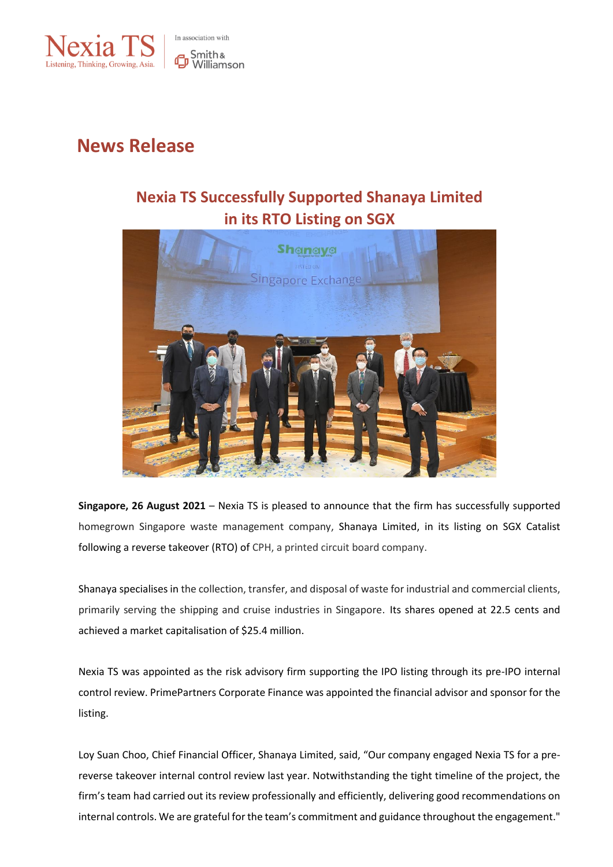

# **News Release**

## **Nexia TS Successfully Supported Shanaya Limited in its RTO Listing on SGX**



**Singapore, 26 August 2021** – Nexia TS is pleased to announce that the firm has successfully supported homegrown Singapore waste management company, Shanaya Limited, in its listing on SGX Catalist following a reverse takeover (RTO) of CPH, a printed circuit board company.

Shanaya specialises in the collection, transfer, and disposal of waste for industrial and commercial clients, primarily serving the shipping and cruise industries in Singapore. Its shares opened at 22.5 cents and achieved a market capitalisation of \$25.4 million.

Nexia TS was appointed as the risk advisory firm supporting the IPO listing through its pre-IPO internal control review. PrimePartners Corporate Finance was appointed the financial advisor and sponsor for the listing.

Loy Suan Choo, Chief Financial Officer, Shanaya Limited, said, "Our company engaged Nexia TS for a prereverse takeover internal control review last year. Notwithstanding the tight timeline of the project, the firm's team had carried out its review professionally and efficiently, delivering good recommendations on internal controls. We are grateful for the team's commitment and guidance throughout the engagement."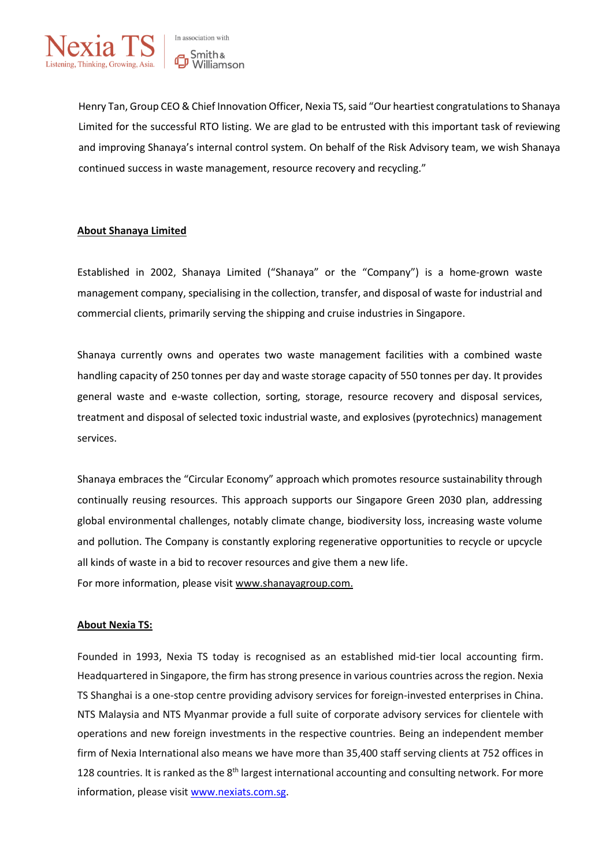

Henry Tan, Group CEO & Chief Innovation Officer, Nexia TS, said "Our heartiest congratulationsto Shanaya Limited for the successful RTO listing. We are glad to be entrusted with this important task of reviewing and improving Shanaya's internal control system. On behalf of the Risk Advisory team, we wish Shanaya continued success in waste management, resource recovery and recycling."

### **About Shanaya Limited**

Established in 2002, Shanaya Limited ("Shanaya" or the "Company") is a home-grown waste management company, specialising in the collection, transfer, and disposal of waste for industrial and commercial clients, primarily serving the shipping and cruise industries in Singapore.

Shanaya currently owns and operates two waste management facilities with a combined waste handling capacity of 250 tonnes per day and waste storage capacity of 550 tonnes per day. It provides general waste and e-waste collection, sorting, storage, resource recovery and disposal services, treatment and disposal of selected toxic industrial waste, and explosives (pyrotechnics) management services.

Shanaya embraces the "Circular Economy" approach which promotes resource sustainability through continually reusing resources. This approach supports our Singapore Green 2030 plan, addressing global environmental challenges, notably climate change, biodiversity loss, increasing waste volume and pollution. The Company is constantly exploring regenerative opportunities to recycle or upcycle all kinds of waste in a bid to recover resources and give them a new life. For more information, please visit [www.shanayagroup.com.](http://www.shanayagroup.com/)

#### **About Nexia TS:**

Founded in 1993, Nexia TS today is recognised as an established mid-tier local accounting firm. Headquartered in Singapore, the firm has strong presence in various countries across the region. Nexia TS Shanghai is a one-stop centre providing advisory services for foreign-invested enterprises in China. NTS Malaysia and NTS Myanmar provide a full suite of corporate advisory services for clientele with operations and new foreign investments in the respective countries. Being an independent member firm of Nexia International also means we have more than 35,400 staff serving clients at 752 offices in 128 countries. It is ranked as the 8<sup>th</sup> largest international accounting and consulting network. For more information, please visit [www.nexiats.com.sg.](http://www.nexiats.com.sg/)